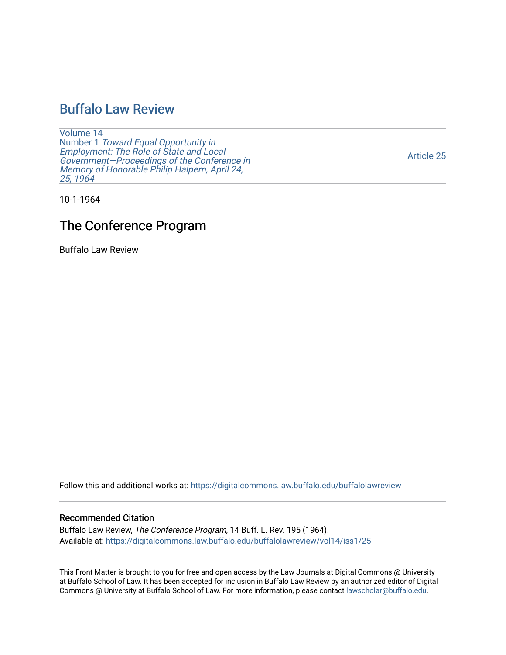## [Buffalo Law Review](https://digitalcommons.law.buffalo.edu/buffalolawreview)

[Volume 14](https://digitalcommons.law.buffalo.edu/buffalolawreview/vol14) Number 1 [Toward Equal Opportunity in](https://digitalcommons.law.buffalo.edu/buffalolawreview/vol14/iss1)  [Employment: The Role of State and Local](https://digitalcommons.law.buffalo.edu/buffalolawreview/vol14/iss1)  [Government—Proceedings of the Conference in](https://digitalcommons.law.buffalo.edu/buffalolawreview/vol14/iss1)  [Memory of Honorable Philip Halpern, April 24,](https://digitalcommons.law.buffalo.edu/buffalolawreview/vol14/iss1)  [25, 1964](https://digitalcommons.law.buffalo.edu/buffalolawreview/vol14/iss1) 

[Article 25](https://digitalcommons.law.buffalo.edu/buffalolawreview/vol14/iss1/25) 

10-1-1964

# The Conference Program

Buffalo Law Review

Follow this and additional works at: [https://digitalcommons.law.buffalo.edu/buffalolawreview](https://digitalcommons.law.buffalo.edu/buffalolawreview?utm_source=digitalcommons.law.buffalo.edu%2Fbuffalolawreview%2Fvol14%2Fiss1%2F25&utm_medium=PDF&utm_campaign=PDFCoverPages) 

#### Recommended Citation

Buffalo Law Review, The Conference Program, 14 Buff. L. Rev. 195 (1964). Available at: [https://digitalcommons.law.buffalo.edu/buffalolawreview/vol14/iss1/25](https://digitalcommons.law.buffalo.edu/buffalolawreview/vol14/iss1/25?utm_source=digitalcommons.law.buffalo.edu%2Fbuffalolawreview%2Fvol14%2Fiss1%2F25&utm_medium=PDF&utm_campaign=PDFCoverPages)

This Front Matter is brought to you for free and open access by the Law Journals at Digital Commons @ University at Buffalo School of Law. It has been accepted for inclusion in Buffalo Law Review by an authorized editor of Digital Commons @ University at Buffalo School of Law. For more information, please contact [lawscholar@buffalo.edu](mailto:lawscholar@buffalo.edu).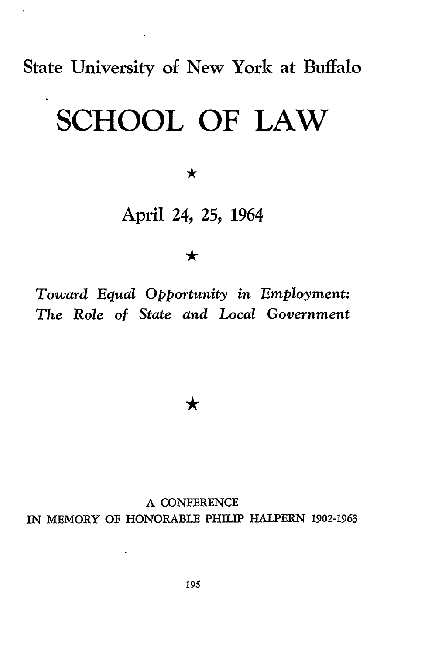State University **of** New York at Buffalo

# **SCHOOL OF LAW**

 $\bigstar$ 

# April 24, 25, 1964

 $\bigstar$ 

*Toward Equal Opportunity in Employment: The Role of State and Local Government*

★

A CONFERENCE IN MEMORY OF HONORABLE PHILIP HALPERN 1902-1963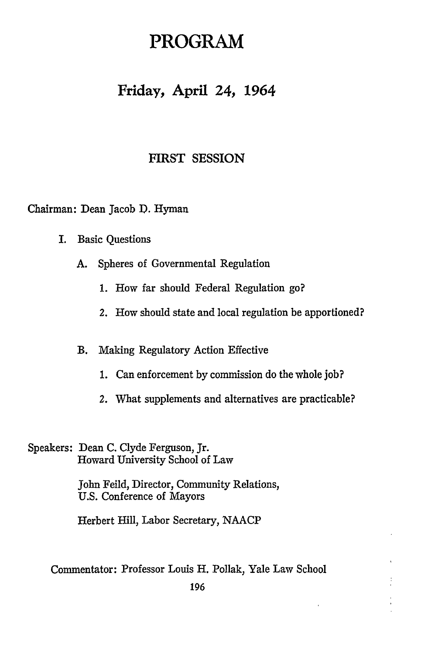# **PROGRAM**

## **Friday, April 24, 1964**

#### FIRST SESSION

Chairman: Dean Jacob D. Hyman

- I. Basic Questions
	- **A.** Spheres of Governmental Regulation
		- **1.** How far should Federal Regulation go?
		- 2. How should state and local regulation be apportioned?

#### B. Making Regulatory Action Effective

- **1.** Can enforcement by commission do the whole job?
- 2. What supplements and alternatives are practicable?

Speakers: Dean C. Clyde Ferguson, Jr. Howard University School of Law

> John Feild, Director, Community Relations, U.S. Conference of Mayors

Herbert Hill, Labor Secretary, NAACP

Commentator: Professor Louis H. Pollak, Yale Law School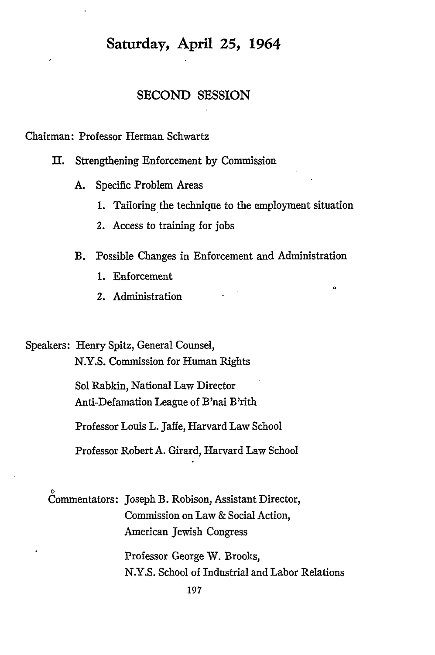## **Saturday, April 25, 1964**

#### **SECOND SESSION**

Chairman: Professor Herman Schwartz

- II. Strengthening Enforcement **by** Commission
	- A. Specific Problem Areas
		- 1. Tailoring the technique to the employment situation

ە

- 2. Access to training for jobs
- B. Possible Changes in Enforcement and Administration
	- 1. Enforcement
	- 2. Administration

Speakers: Henry Spitz, General Counsel, N.Y.S. Commission for Human Rights

> Sol Rabkin, National Law Director Anti-Defamation League of B'nai B'rith

Professor Louis L. Jaffe, Harvard Law School

Professor Robert A. Girard, Harvard Law School

Commentators: Joseph B. Robison, Assistant Director, Commission on Law & Social Action, American Jewish Congress

> Professor George W. Brooks, N.Y.S. School of Industrial and Labor Relations